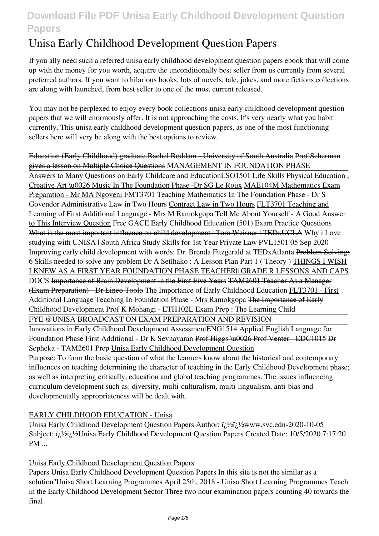# **Unisa Early Childhood Development Question Papers**

If you ally need such a referred **unisa early childhood development question papers** ebook that will come up with the money for you worth, acquire the unconditionally best seller from us currently from several preferred authors. If you want to hilarious books, lots of novels, tale, jokes, and more fictions collections are along with launched, from best seller to one of the most current released.

You may not be perplexed to enjoy every book collections unisa early childhood development question papers that we will enormously offer. It is not approaching the costs. It's very nearly what you habit currently. This unisa early childhood development question papers, as one of the most functioning sellers here will very be along with the best options to review.

Education (Early Childhood) graduate Rachel Roddam - University of South Australia Prof Scherman gives a lesson on Multiple Choice Questions *MANAGEMENT IN FOUNDATION PHASE* Answers to Many Questions on Early Childcare and EducationLSO1501 Life Skills Physical Education , Creative Art \u0026 Music In The Foundation Phase -Dr SG Le Roux MAE104M Mathematics Exam Preparation - Mr MA Ngoveni FMT3701 Teaching Mathematics In The Foundation Phase - Dr S Govendor Administrative Law in Two Hours Contract Law in Two Hours FLT3701 Teaching and Learning of First Additional Language - Mrs M Ramokgopa Tell Me About Yourself - A Good Answer to This Interview Question Free GACE Early Childhood Education (501) Exam Practice Questions What is the most important influence on child development | Tom Weisner | TEDxUCLA *Why i Love studying with UNISA | South Africa Study Skills for 1st Year Private Law PVL1501 05 Sep 2020* Improving early child development with words: Dr. Brenda Fitzgerald at TEDxAtlanta Problem Solving: 6 Skills needed to solve any problem Dr A Setlhako : A Lesson Plan Part 1 ( Theory ) THINGS I WISH I KNEW AS A FIRST YEAR FOUNDATION PHASE TEACHER|| GRADE R LESSONS AND CAPS DOCS Importance of Brain Development in the First Five Years TAM2601 Teacher As a Manager (Exam Preparation) - Dr Lineo Toolo *The Importance of Early Childhood Education* FLT3701 - First Additional Language Teaching In Foundation Phase - Mrs Ramokgopa The Importance of Early Childhood Development Prof K Mohangi - ETH102L Exam Prep : The Learning Child FYE @UNISA BROADCAST ON EXAM PREPARATION AND REVISION Innovations in Early Childhood Development Assessment**ENG1514 Applied English Language for Foundation Phase First Additional - Dr K Sevnayaran** Prof Higgs \u0026 Prof Venter - EDC1015 Dr Sepheka - TAM2601 Prep Unisa Early Childhood Development Question Purpose: To form the basic question of what the learners know about the historical and contemporary influences on teaching determining the character of teaching in the Early Childhood Development phase; as well as interpreting critically, education and global teaching programmes. The issues influencing curriculum development such as: diversity, multi-culturalism, multi-lingualism, anti-bias and developmentally appropriateness will be dealt with.

## EARLY CHILDHOOD EDUCATION - Unisa

Unisa Early Childhood Development Question Papers Author:  $i\hbar$  / $i\hbar$  / $i\hbar$  / $j\hbar$  / $k$  / $k$  www.svc.edu-2020-10-05 Subject: i<sub>i</sub>,1/<sub>2</sub>i<sub>i</sub>,1/<sub>2</sub>Unisa Early Childhood Development Question Papers Created Date: 10/5/2020 7:17:20 PM ...

## Unisa Early Childhood Development Question Papers

Papers Unisa Early Childhood Development Question Papers In this site is not the similar as a solution''Unisa Short Learning Programmes April 25th, 2018 - Unisa Short Learning Programmes Teach in the Early Childhood Development Sector Three two hour examination papers counting 40 towards the final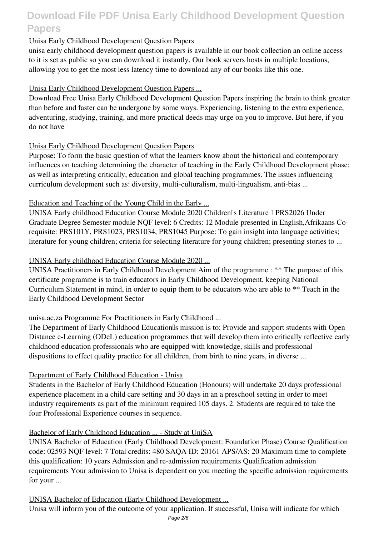## Unisa Early Childhood Development Question Papers

unisa early childhood development question papers is available in our book collection an online access to it is set as public so you can download it instantly. Our book servers hosts in multiple locations, allowing you to get the most less latency time to download any of our books like this one.

#### Unisa Early Childhood Development Question Papers ...

Download Free Unisa Early Childhood Development Question Papers inspiring the brain to think greater than before and faster can be undergone by some ways. Experiencing, listening to the extra experience, adventuring, studying, training, and more practical deeds may urge on you to improve. But here, if you do not have

#### Unisa Early Childhood Development Question Papers

Purpose: To form the basic question of what the learners know about the historical and contemporary influences on teaching determining the character of teaching in the Early Childhood Development phase; as well as interpreting critically, education and global teaching programmes. The issues influencing curriculum development such as: diversity, multi-culturalism, multi-lingualism, anti-bias ...

#### Education and Teaching of the Young Child in the Early ...

UNISA Early childhood Education Course Module 2020 Children<sup>®</sup>s Literature <sup>[]</sup> PRS2026 Under Graduate Degree Semester module NQF level: 6 Credits: 12 Module presented in English,Afrikaans Corequisite: PRS101Y, PRS1023, PRS1034, PRS1045 Purpose: To gain insight into language activities; literature for young children; criteria for selecting literature for young children; presenting stories to ...

#### UNISA Early childhood Education Course Module 2020 ...

UNISA Practitioners in Early Childhood Development Aim of the programme : \*\* The purpose of this certificate programme is to train educators in Early Childhood Development, keeping National Curriculum Statement in mind, in order to equip them to be educators who are able to \*\* Teach in the Early Childhood Development Sector

## unisa.ac.za Programme For Practitioners in Early Childhood ...

The Department of Early Childhood Education<sup>®</sup>s mission is to: Provide and support students with Open Distance e-Learning (ODeL) education programmes that will develop them into critically reflective early childhood education professionals who are equipped with knowledge, skills and professional dispositions to effect quality practice for all children, from birth to nine years, in diverse ...

#### Department of Early Childhood Education - Unisa

Students in the Bachelor of Early Childhood Education (Honours) will undertake 20 days professional experience placement in a child care setting and 30 days in an a preschool setting in order to meet industry requirements as part of the minimum required 105 days. 2. Students are required to take the four Professional Experience courses in sequence.

## Bachelor of Early Childhood Education ... - Study at UniSA

UNISA Bachelor of Education (Early Childhood Development: Foundation Phase) Course Qualification code: 02593 NQF level: 7 Total credits: 480 SAQA ID: 20161 APS/AS: 20 Maximum time to complete this qualification: 10 years Admission and re-admission requirements Qualification admission requirements Your admission to Unisa is dependent on you meeting the specific admission requirements for your ...

#### UNISA Bachelor of Education (Early Childhood Development ...

Unisa will inform you of the outcome of your application. If successful, Unisa will indicate for which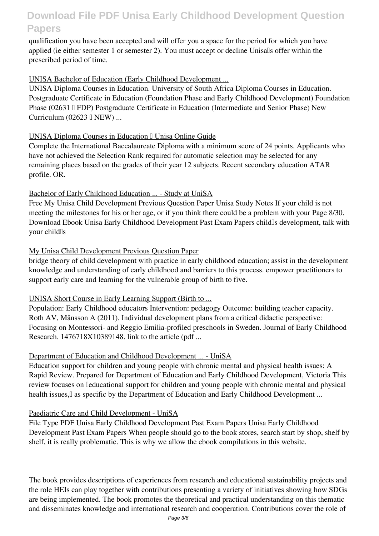qualification you have been accepted and will offer you a space for the period for which you have applied (ie either semester 1 or semester 2). You must accept or decline Unisalls offer within the prescribed period of time.

### UNISA Bachelor of Education (Early Childhood Development ...

UNISA Diploma Courses in Education. University of South Africa Diploma Courses in Education. Postgraduate Certificate in Education (Foundation Phase and Early Childhood Development) Foundation Phase (02631 I FDP) Postgraduate Certificate in Education (Intermediate and Senior Phase) New Curriculum  $(02623 \mathbb{I} \text{ NEW})$  ...

## UNISA Diploma Courses in Education I Unisa Online Guide

Complete the International Baccalaureate Diploma with a minimum score of 24 points. Applicants who have not achieved the Selection Rank required for automatic selection may be selected for any remaining places based on the grades of their year 12 subjects. Recent secondary education ATAR profile. OR.

## Bachelor of Early Childhood Education ... - Study at UniSA

Free My Unisa Child Development Previous Question Paper Unisa Study Notes If your child is not meeting the milestones for his or her age, or if you think there could be a problem with your Page 8/30. Download Ebook Unisa Early Childhood Development Past Exam Papers child's development, talk with your child<sup>Is</sup>

## My Unisa Child Development Previous Question Paper

bridge theory of child development with practice in early childhood education; assist in the development knowledge and understanding of early childhood and barriers to this process. empower practitioners to support early care and learning for the vulnerable group of birth to five.

## UNISA Short Course in Early Learning Support (Birth to ...

Population: Early Childhood educators Intervention: pedagogy Outcome: building teacher capacity. Roth AV, Månsson A (2011). Individual development plans from a critical didactic perspective: Focusing on Montessori- and Reggio Emilia-profiled preschools in Sweden. Journal of Early Childhood Research. 1476718X10389148. link to the article (pdf ...

## Department of Education and Childhood Development ... - UniSA

Education support for children and young people with chronic mental and physical health issues: A Rapid Review. Prepared for Department of Education and Early Childhood Development, Victoria This review focuses on leducational support for children and young people with chronic mental and physical health issues,<sup>[]</sup> as specific by the Department of Education and Early Childhood Development ...

## Paediatric Care and Child Development - UniSA

File Type PDF Unisa Early Childhood Development Past Exam Papers Unisa Early Childhood Development Past Exam Papers When people should go to the book stores, search start by shop, shelf by shelf, it is really problematic. This is why we allow the ebook compilations in this website.

The book provides descriptions of experiences from research and educational sustainability projects and the role HEIs can play together with contributions presenting a variety of initiatives showing how SDGs are being implemented. The book promotes the theoretical and practical understanding on this thematic and disseminates knowledge and international research and cooperation. Contributions cover the role of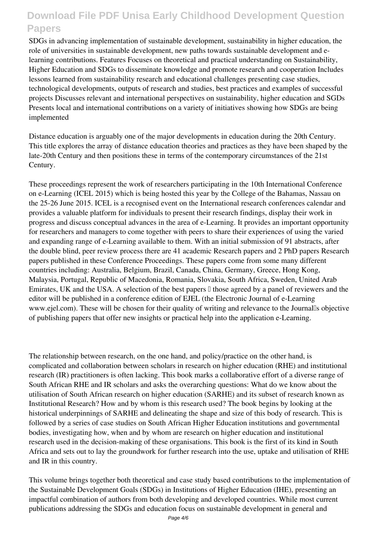SDGs in advancing implementation of sustainable development, sustainability in higher education, the role of universities in sustainable development, new paths towards sustainable development and elearning contributions. Features Focuses on theoretical and practical understanding on Sustainability, Higher Education and SDGs to disseminate knowledge and promote research and cooperation Includes lessons learned from sustainability research and educational challenges presenting case studies, technological developments, outputs of research and studies, best practices and examples of successful projects Discusses relevant and international perspectives on sustainability, higher education and SGDs Presents local and international contributions on a variety of initiatives showing how SDGs are being implemented

Distance education is arguably one of the major developments in education during the 20th Century. This title explores the array of distance education theories and practices as they have been shaped by the late-20th Century and then positions these in terms of the contemporary circumstances of the 21st Century.

These proceedings represent the work of researchers participating in the 10th International Conference on e-Learning (ICEL 2015) which is being hosted this year by the College of the Bahamas, Nassau on the 25-26 June 2015. ICEL is a recognised event on the International research conferences calendar and provides a valuable platform for individuals to present their research findings, display their work in progress and discuss conceptual advances in the area of e-Learning. It provides an important opportunity for researchers and managers to come together with peers to share their experiences of using the varied and expanding range of e-Learning available to them. With an initial submission of 91 abstracts, after the double blind, peer review process there are 41 academic Research papers and 2 PhD papers Research papers published in these Conference Proceedings. These papers come from some many different countries including: Australia, Belgium, Brazil, Canada, China, Germany, Greece, Hong Kong, Malaysia, Portugal, Republic of Macedonia, Romania, Slovakia, South Africa, Sweden, United Arab Emirates, UK and the USA. A selection of the best papers  $\mathbb I$  those agreed by a panel of reviewers and the editor will be published in a conference edition of EJEL (the Electronic Journal of e-Learning www.ejel.com). These will be chosen for their quality of writing and relevance to the Journalls objective of publishing papers that offer new insights or practical help into the application e-Learning.

The relationship between research, on the one hand, and policy/practice on the other hand, is complicated and collaboration between scholars in research on higher education (RHE) and institutional research (IR) practitioners is often lacking. This book marks a collaborative effort of a diverse range of South African RHE and IR scholars and asks the overarching questions: What do we know about the utilisation of South African research on higher education (SARHE) and its subset of research known as Institutional Research? How and by whom is this research used? The book begins by looking at the historical underpinnings of SARHE and delineating the shape and size of this body of research. This is followed by a series of case studies on South African Higher Education institutions and governmental bodies, investigating how, when and by whom are research on higher education and institutional research used in the decision-making of these organisations. This book is the first of its kind in South Africa and sets out to lay the groundwork for further research into the use, uptake and utilisation of RHE and IR in this country.

This volume brings together both theoretical and case study based contributions to the implementation of the Sustainable Development Goals (SDGs) in Institutions of Higher Education (IHE), presenting an impactful combination of authors from both developing and developed countries. While most current publications addressing the SDGs and education focus on sustainable development in general and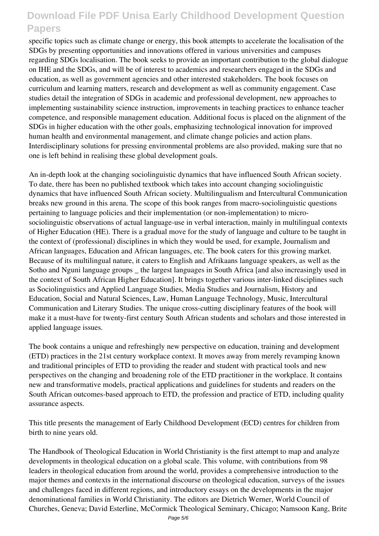specific topics such as climate change or energy, this book attempts to accelerate the localisation of the SDGs by presenting opportunities and innovations offered in various universities and campuses regarding SDGs localisation. The book seeks to provide an important contribution to the global dialogue on IHE and the SDGs, and will be of interest to academics and researchers engaged in the SDGs and education, as well as government agencies and other interested stakeholders. The book focuses on curriculum and learning matters, research and development as well as community engagement. Case studies detail the integration of SDGs in academic and professional development, new approaches to implementing sustainability science instruction, improvements in teaching practices to enhance teacher competence, and responsible management education. Additional focus is placed on the alignment of the SDGs in higher education with the other goals, emphasizing technological innovation for improved human health and environmental management, and climate change policies and action plans. Interdisciplinary solutions for pressing environmental problems are also provided, making sure that no one is left behind in realising these global development goals.

An in-depth look at the changing sociolinguistic dynamics that have influenced South African society. To date, there has been no published textbook which takes into account changing sociolinguistic dynamics that have influenced South African society. Multilingualism and Intercultural Communication breaks new ground in this arena. The scope of this book ranges from macro-sociolinguistic questions pertaining to language policies and their implementation (or non-implementation) to microsociolinguistic observations of actual language-use in verbal interaction, mainly in multilingual contexts of Higher Education (HE). There is a gradual move for the study of language and culture to be taught in the context of (professional) disciplines in which they would be used, for example, Journalism and African languages, Education and African languages, etc. The book caters for this growing market. Because of its multilingual nature, it caters to English and Afrikaans language speakers, as well as the Sotho and Nguni language groups the largest languages in South Africa [and also increasingly used in the context of South African Higher Education]. It brings together various inter-linked disciplines such as Sociolinguistics and Applied Language Studies, Media Studies and Journalism, History and Education, Social and Natural Sciences, Law, Human Language Technology, Music, Intercultural Communication and Literary Studies. The unique cross-cutting disciplinary features of the book will make it a must-have for twenty-first century South African students and scholars and those interested in applied language issues.

The book contains a unique and refreshingly new perspective on education, training and development (ETD) practices in the 21st century workplace context. It moves away from merely revamping known and traditional principles of ETD to providing the reader and student with practical tools and new perspectives on the changing and broadening role of the ETD practitioner in the workplace. It contains new and transformative models, practical applications and guidelines for students and readers on the South African outcomes-based approach to ETD, the profession and practice of ETD, including quality assurance aspects.

This title presents the management of Early Childhood Development (ECD) centres for children from birth to nine years old.

The Handbook of Theological Education in World Christianity is the first attempt to map and analyze developments in theological education on a global scale. This volume, with contributions from 98 leaders in theological education from around the world, provides a comprehensive introduction to the major themes and contexts in the international discourse on theological education, surveys of the issues and challenges faced in different regions, and introductory essays on the developments in the major denominational families in World Christianity. The editors are Dietrich Werner, World Council of Churches, Geneva; David Esterline, McCormick Theological Seminary, Chicago; Namsoon Kang, Brite